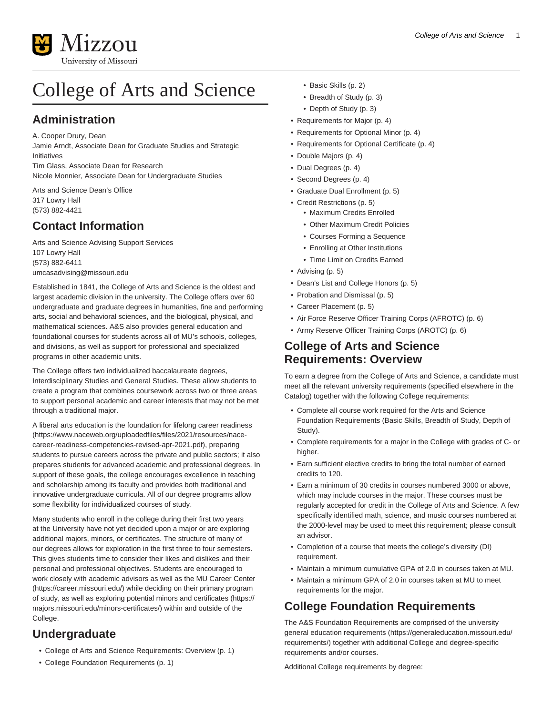

# College of Arts and Science

## **Administration**

A. Cooper Drury, Dean

Jamie Arndt, Associate Dean for Graduate Studies and Strategic Initiatives Tim Glass, Associate Dean for Research

Nicole Monnier, Associate Dean for Undergraduate Studies

Arts and Science Dean's Office 317 Lowry Hall (573) 882-4421

# **Contact Information**

Arts and Science Advising Support Services 107 Lowry Hall (573) 882-6411 [umcasadvising@missouri.edu](mailto:umcasadvising@missouri.edu)

Established in 1841, the College of Arts and Science is the oldest and largest academic division in the university. The College offers over 60 undergraduate and graduate degrees in humanities, fine and performing arts, social and behavioral sciences, and the biological, physical, and mathematical sciences. A&S also provides general education and foundational courses for students across all of MU's schools, colleges, and divisions, as well as support for professional and specialized programs in other academic units.

The College offers two individualized baccalaureate degrees, Interdisciplinary Studies and General Studies. These allow students to create a program that combines coursework across two or three areas to support personal academic and career interests that may not be met through a traditional major.

A liberal arts education is the [foundation for lifelong career readiness](https://www.naceweb.org/uploadedfiles/files/2021/resources/nace-career-readiness-competencies-revised-apr-2021.pdf) ([https://www.naceweb.org/uploadedfiles/files/2021/resources/nace](https://www.naceweb.org/uploadedfiles/files/2021/resources/nace-career-readiness-competencies-revised-apr-2021.pdf)[career-readiness-competencies-revised-apr-2021.pdf\)](https://www.naceweb.org/uploadedfiles/files/2021/resources/nace-career-readiness-competencies-revised-apr-2021.pdf), preparing students to pursue careers across the private and public sectors; it also prepares students for advanced academic and professional degrees. In support of these goals, the college encourages excellence in teaching and scholarship among its faculty and provides both traditional and innovative undergraduate curricula. All of our degree programs allow some flexibility for individualized courses of study.

Many students who enroll in the college during their first two years at the University have not yet decided upon a major or are exploring additional majors, minors, or certificates. The structure of many of our degrees allows for exploration in the first three to four semesters. This gives students time to consider their likes and dislikes and their personal and professional objectives. Students are encouraged to work closely with academic advisors as well as the [MU Career Center](https://career.missouri.edu/) (<https://career.missouri.edu/>) while deciding on their primary program of study, as well as exploring potential [minors and certificates](https://majors.missouri.edu/minors-certificates/) ([https://](https://majors.missouri.edu/minors-certificates/) [majors.missouri.edu/minors-certificates/\)](https://majors.missouri.edu/minors-certificates/) within and outside of the College.

# **Undergraduate**

- [College of Arts and Science Requirements: Overview \(p. 1\)](#page-0-0)
- [College Foundation Requirements](#page-0-1) [\(p. 1\)](#page-0-1)
- [Basic Skills](#page-1-0) [\(p. 2\)](#page-1-0)
- [Breadth of Study \(p. 3\)](#page-2-0)
- [Depth of Study](#page-2-1) ([p. 3](#page-2-1))
- [Requirements for Major \(p. 4\)](#page-3-0)
- [Requirements for Optional Minor \(p. 4\)](#page-3-1)
- [Requirements for Optional Certificate \(p. 4\)](#page-3-2)
- [Double Majors \(p. 4\)](#page-3-3)
- [Dual Degrees](#page-3-4) ([p. 4](#page-3-4))
- [Second Degrees \(p. 4\)](#page-3-5)
- [Graduate Dual Enrollment](#page-4-0) [\(p. 5\)](#page-4-0)
- [Credit Restrictions](#page-4-1) [\(p. 5\)](#page-4-1)
	- Maximum Credits Enrolled
	- Other Maximum Credit Policies
	- Courses Forming a Sequence
	- Enrolling at Other Institutions
	- Time Limit on Credits Earned
- [Advising](#page-4-2) [\(p. 5](#page-4-2))
- [Dean's List and College Honors](#page-4-3) [\(p. 5](#page-4-3))
- [Probation and Dismissal](#page-4-4) [\(p. 5](#page-4-4))
- [Career Placement](#page-4-5) [\(p. 5\)](#page-4-5)
- [Air Force Reserve Officer Training Corps \(AFROTC\)](#page-5-0) [\(p. 6\)](#page-5-0)
- [Army Reserve Officer Training Corps \(AROTC\)](#page-5-1) ([p. 6\)](#page-5-1)

#### <span id="page-0-0"></span>**College of Arts and Science Requirements: Overview**

To earn a degree from the College of Arts and Science, a candidate must meet all the relevant university requirements (specified elsewhere in the Catalog) together with the following College requirements:

- Complete all course work required for the Arts and Science Foundation Requirements (Basic Skills, Breadth of Study, Depth of Study).
- Complete requirements for a major in the College with grades of C- or higher.
- Earn sufficient elective credits to bring the total number of earned credits to 120.
- Earn a minimum of 30 credits in courses numbered 3000 or above, which may include courses in the major. These courses must be regularly accepted for credit in the College of Arts and Science. A few specifically identified math, science, and music courses numbered at the 2000-level may be used to meet this requirement; please consult an advisor.
- Completion of a course that meets the college's diversity (DI) requirement.
- Maintain a minimum cumulative GPA of 2.0 in courses taken at MU.
- Maintain a minimum GPA of 2.0 in courses taken at MU to meet requirements for the major.

# <span id="page-0-1"></span>**College Foundation Requirements**

The A&S Foundation Requirements are comprised of the [university](https://generaleducation.missouri.edu/requirements/) [general education requirements](https://generaleducation.missouri.edu/requirements/) [\(https://generaleducation.missouri.edu/](https://generaleducation.missouri.edu/requirements/) [requirements/\)](https://generaleducation.missouri.edu/requirements/) together with additional College and degree-specific requirements and/or courses.

Additional College requirements by degree: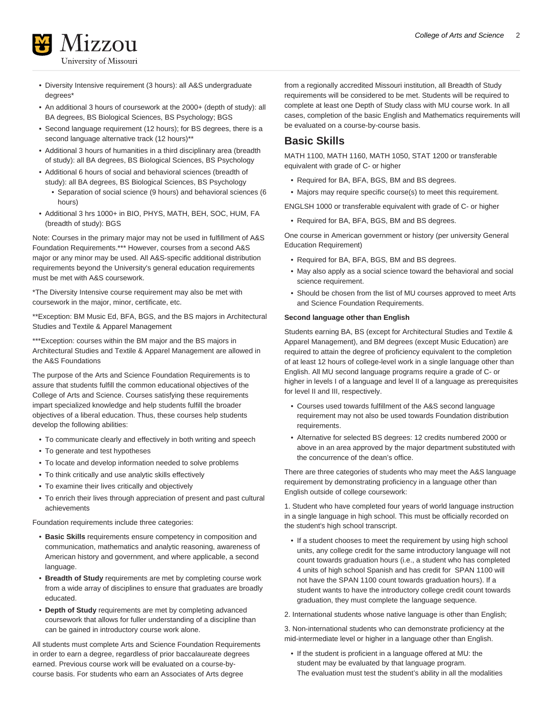

- Diversity Intensive requirement (3 hours): all A&S undergraduate degrees\*
- An additional 3 hours of coursework at the 2000+ (depth of study): all BA degrees, BS Biological Sciences, BS Psychology; BGS
- Second language requirement (12 hours); for BS degrees, there is a second language alternative track (12 hours)\*\*
- Additional 3 hours of humanities in a third disciplinary area (breadth of study): all BA degrees, BS Biological Sciences, BS Psychology
- Additional 6 hours of social and behavioral sciences (breadth of study): all BA degrees, BS Biological Sciences, BS Psychology • Separation of social science (9 hours) and behavioral sciences (6
	- hours)
- Additional 3 hrs 1000+ in BIO, PHYS, MATH, BEH, SOC, HUM, FA (breadth of study): BGS

Note: Courses in the primary major may not be used in fulfillment of A&S Foundation Requirements.\*\*\* However, courses from a second A&S major or any minor may be used. All A&S-specific additional distribution requirements beyond the University's general education requirements must be met with A&S coursework.

\*The Diversity Intensive course requirement may also be met with coursework in the major, minor, certificate, etc.

\*\*Exception: BM Music Ed, BFA, BGS, and the BS majors in Architectural Studies and Textile & Apparel Management

\*\*\*Exception: courses within the BM major and the BS majors in Architectural Studies and Textile & Apparel Management are allowed in the A&S Foundations

The purpose of the Arts and Science Foundation Requirements is to assure that students fulfill the common educational objectives of the College of Arts and Science. Courses satisfying these requirements impart specialized knowledge and help students fulfill the broader objectives of a liberal education. Thus, these courses help students develop the following abilities:

- To communicate clearly and effectively in both writing and speech
- To generate and test hypotheses
- To locate and develop information needed to solve problems
- To think critically and use analytic skills effectively
- To examine their lives critically and objectively
- To enrich their lives through appreciation of present and past cultural achievements

Foundation requirements include three categories:

- **Basic Skills** requirements ensure competency in composition and communication, mathematics and analytic reasoning, awareness of American history and government, and where applicable, a second language.
- **Breadth of Study** requirements are met by completing course work from a wide array of disciplines to ensure that graduates are broadly educated.
- **Depth of Study** requirements are met by completing advanced coursework that allows for fuller understanding of a discipline than can be gained in introductory course work alone.

All students must complete Arts and Science Foundation Requirements in order to earn a degree, regardless of prior baccalaureate degrees earned. Previous course work will be evaluated on a course-bycourse basis. For students who earn an Associates of Arts degree

from a regionally accredited Missouri institution, all Breadth of Study requirements will be considered to be met. Students will be required to complete at least one Depth of Study class with MU course work. In all cases, completion of the basic English and Mathematics requirements will be evaluated on a course-by-course basis.

#### <span id="page-1-0"></span>**Basic Skills**

MATH 1100, MATH 1160, MATH 1050, STAT 1200 or transferable equivalent with grade of C- or higher

• Required for BA, BFA, BGS, BM and BS degrees.

• Majors may require specific course(s) to meet this requirement.

ENGLSH 1000 or transferable equivalent with grade of C- or higher

• Required for BA, BFA, BGS, BM and BS degrees.

One course in American government or history (per university General Education Requirement)

- Required for BA, BFA, BGS, BM and BS degrees.
- May also apply as a social science toward the behavioral and social science requirement.
- Should be chosen from the list of MU courses approved to meet Arts and Science Foundation Requirements.

#### **Second language other than English**

Students earning BA, BS (except for Architectural Studies and Textile & Apparel Management), and BM degrees (except Music Education) are required to attain the degree of proficiency equivalent to the completion of at least 12 hours of college-level work in a single language other than English. All MU second language programs require a grade of C- or higher in levels I of a language and level II of a language as prerequisites for level II and III, respectively.

- Courses used towards fulfillment of the A&S second language requirement may not also be used towards Foundation distribution requirements.
- Alternative for selected BS degrees: 12 credits numbered 2000 or above in an area approved by the major department substituted with the concurrence of the dean's office.

There are three categories of students who may meet the A&S language requirement by demonstrating proficiency in a language other than English outside of college coursework:

1. Student who have completed four years of world language instruction in a single language in high school. This must be officially recorded on the student's high school transcript.

• If a student chooses to meet the requirement by using high school units, any college credit for the same introductory language will not count towards graduation hours (i.e., a student who has completed 4 units of high school Spanish and has credit for SPAN 1100 will not have the SPAN 1100 count towards graduation hours). If a student wants to have the introductory college credit count towards graduation, they must complete the language sequence.

2. International students whose native language is other than English;

3. Non-international students who can demonstrate proficiency at the mid-intermediate level or higher in a language other than English.

• If the student is proficient in a language offered at MU: the student may be evaluated by that language program. The evaluation must test the student's ability in all the modalities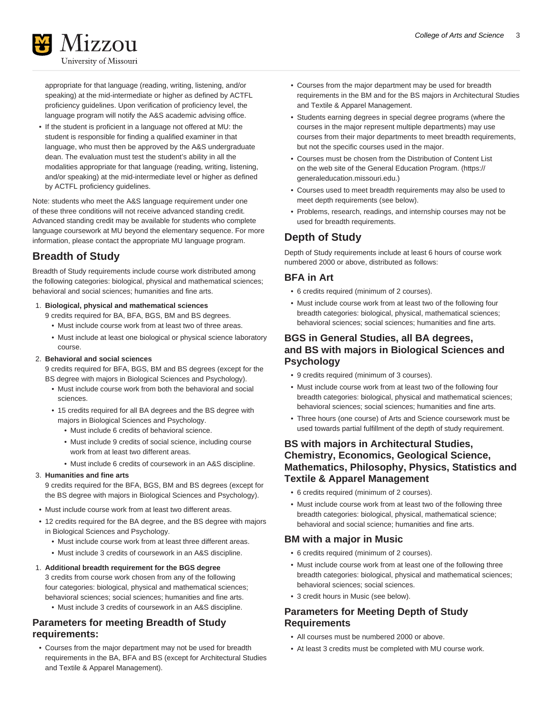

appropriate for that language (reading, writing, listening, and/or speaking) at the mid-intermediate or higher as defined by ACTFL proficiency guidelines. Upon verification of proficiency level, the language program will notify the A&S academic advising office.

• If the student is proficient in a language not offered at MU: the student is responsible for finding a qualified examiner in that language, who must then be approved by the A&S undergraduate dean. The evaluation must test the student's ability in all the modalities appropriate for that language (reading, writing, listening, and/or speaking) at the mid-intermediate level or higher as defined by ACTFL proficiency guidelines.

Note: students who meet the A&S language requirement under one of these three conditions will not receive advanced standing credit. Advanced standing credit may be available for students who complete language coursework at MU beyond the elementary sequence. For more information, please contact the appropriate MU language program.

# <span id="page-2-0"></span>**Breadth of Study**

Breadth of Study requirements include course work distributed among the following categories: biological, physical and mathematical sciences; behavioral and social sciences; humanities and fine arts.

1. **Biological, physical and mathematical sciences**

9 credits required for BA, BFA, BGS, BM and BS degrees.

- Must include course work from at least two of three areas.
- Must include at least one biological or physical science laboratory course.

#### 2. **Behavioral and social sciences**

9 credits required for BFA, BGS, BM and BS degrees (except for the BS degree with majors in Biological Sciences and Psychology).

- Must include course work from both the behavioral and social sciences.
- 15 credits required for all BA degrees and the BS degree with majors in Biological Sciences and Psychology.
	- Must include 6 credits of behavioral science.
	- Must include 9 credits of social science, including course work from at least two different areas.
	- Must include 6 credits of coursework in an A&S discipline.

#### 3. **Humanities and fine arts**

9 credits required for the BFA, BGS, BM and BS degrees (except for the BS degree with majors in Biological Sciences and Psychology).

- Must include course work from at least two different areas.
- 12 credits required for the BA degree, and the BS degree with majors in Biological Sciences and Psychology.
	- Must include course work from at least three different areas.
	- Must include 3 credits of coursework in an A&S discipline.

#### 1. **Additional breadth requirement for the BGS degree**

3 credits from course work chosen from any of the following four categories: biological, physical and mathematical sciences; behavioral sciences; social sciences; humanities and fine arts.

• Must include 3 credits of coursework in an A&S discipline.

#### **Parameters for meeting Breadth of Study requirements:**

• Courses from the major department may not be used for breadth requirements in the BA, BFA and BS (except for Architectural Studies and Textile & Apparel Management).

- Courses from the major department may be used for breadth requirements in the BM and for the BS majors in Architectural Studies and Textile & Apparel Management.
- Students earning degrees in special degree programs (where the courses in the major represent multiple departments) may use courses from their major departments to meet breadth requirements, but not the specific courses used in the major.
- Courses must be chosen from the Distribution of Content List on the web site of the General Education Program. ([https://](https://generaleducation.missouri.edu) [generaleducation.missouri.edu.](https://generaleducation.missouri.edu))
- Courses used to meet breadth requirements may also be used to meet depth requirements (see below).
- Problems, research, readings, and internship courses may not be used for breadth requirements.

#### <span id="page-2-1"></span>**Depth of Study**

Depth of Study requirements include at least 6 hours of course work numbered 2000 or above, distributed as follows:

#### **BFA in Art**

- 6 credits required (minimum of 2 courses).
- Must include course work from at least two of the following four breadth categories: biological, physical, mathematical sciences; behavioral sciences; social sciences; humanities and fine arts.

#### **BGS in General Studies, all BA degrees, and BS with majors in Biological Sciences and Psychology**

- 9 credits required (minimum of 3 courses).
- Must include course work from at least two of the following four breadth categories: biological, physical and mathematical sciences; behavioral sciences; social sciences; humanities and fine arts.
- Three hours (one course) of Arts and Science coursework must be used towards partial fulfillment of the depth of study requirement.

#### **BS with majors in Architectural Studies, Chemistry, Economics, Geological Science, Mathematics, Philosophy, Physics, Statistics and Textile & Apparel Management**

- 6 credits required (minimum of 2 courses).
- Must include course work from at least two of the following three breadth categories: biological, physical, mathematical science; behavioral and social science; humanities and fine arts.

#### **BM with a major in Music**

- 6 credits required (minimum of 2 courses).
- Must include course work from at least one of the following three breadth categories: biological, physical and mathematical sciences; behavioral sciences; social sciences.
- 3 credit hours in Music (see below).

#### **Parameters for Meeting Depth of Study Requirements**

- All courses must be numbered 2000 or above.
- At least 3 credits must be completed with MU course work.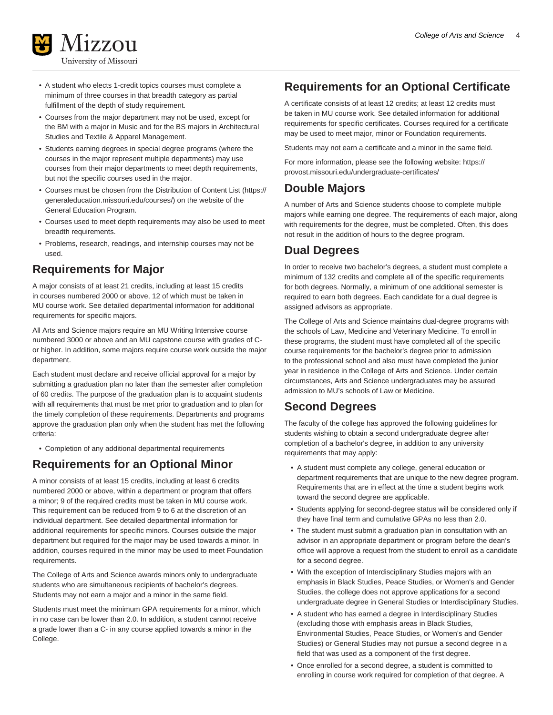

- A student who elects 1-credit topics courses must complete a minimum of three courses in that breadth category as partial fulfillment of the depth of study requirement.
- Courses from the major department may not be used, except for the BM with a major in Music and for the BS majors in Architectural Studies and Textile & Apparel Management.
- Students earning degrees in special degree programs (where the courses in the major represent multiple departments) may use courses from their major departments to meet depth requirements, but not the specific courses used in the major.
- Courses must be chosen from the [Distribution of Content List](https://generaleducation.missouri.edu/courses/) ([https://](https://generaleducation.missouri.edu/courses/) [generaleducation.missouri.edu/courses/](https://generaleducation.missouri.edu/courses/)) on the website of the General Education Program.
- Courses used to meet depth requirements may also be used to meet breadth requirements.
- Problems, research, readings, and internship courses may not be used.

### <span id="page-3-0"></span>**Requirements for Major**

A major consists of at least 21 credits, including at least 15 credits in courses numbered 2000 or above, 12 of which must be taken in MU course work. See detailed departmental information for additional requirements for specific majors.

All Arts and Science majors require an MU Writing Intensive course numbered 3000 or above and an MU capstone course with grades of Cor higher. In addition, some majors require course work outside the major department.

Each student must declare and receive official approval for a major by submitting a graduation plan no later than the semester after completion of 60 credits. The purpose of the graduation plan is to acquaint students with all requirements that must be met prior to graduation and to plan for the timely completion of these requirements. Departments and programs approve the graduation plan only when the student has met the following criteria:

<span id="page-3-1"></span>• Completion of any additional departmental requirements

### **Requirements for an Optional Minor**

A minor consists of at least 15 credits, including at least 6 credits numbered 2000 or above, within a department or program that offers a minor; 9 of the required credits must be taken in MU course work. This requirement can be reduced from 9 to 6 at the discretion of an individual department. See detailed departmental information for additional requirements for specific minors. Courses outside the major department but required for the major may be used towards a minor. In addition, courses required in the minor may be used to meet Foundation requirements.

The College of Arts and Science awards minors only to undergraduate students who are simultaneous recipients of bachelor's degrees. Students may not earn a major and a minor in the same field.

Students must meet the minimum GPA requirements for a minor, which in no case can be lower than 2.0. In addition, a student cannot receive a grade lower than a C- in any course applied towards a minor in the College.

### <span id="page-3-2"></span>**Requirements for an Optional Certificate**

A certificate consists of at least 12 credits; at least 12 credits must be taken in MU course work. See detailed information for additional requirements for specific certificates. Courses required for a certificate may be used to meet major, minor or Foundation requirements.

Students may not earn a certificate and a minor in the same field.

For more information, please see the following website: [https://](https://provost.missouri.edu/undergraduate-certificates/) [provost.missouri.edu/undergraduate-certificates/](https://provost.missouri.edu/undergraduate-certificates/)

#### <span id="page-3-3"></span>**Double Majors**

A number of Arts and Science students choose to complete multiple majors while earning one degree. The requirements of each major, along with requirements for the degree, must be completed. Often, this does not result in the addition of hours to the degree program.

### <span id="page-3-4"></span>**Dual Degrees**

In order to receive two bachelor's degrees, a student must complete a minimum of 132 credits and complete all of the specific requirements for both degrees. Normally, a minimum of one additional semester is required to earn both degrees. Each candidate for a dual degree is assigned advisors as appropriate.

The College of Arts and Science maintains dual-degree programs with the schools of Law, Medicine and Veterinary Medicine. To enroll in these programs, the student must have completed all of the specific course requirements for the bachelor's degree prior to admission to the professional school and also must have completed the junior year in residence in the College of Arts and Science. Under certain circumstances, Arts and Science undergraduates may be assured admission to MU's schools of Law or Medicine.

### <span id="page-3-5"></span>**Second Degrees**

The faculty of the college has approved the following guidelines for students wishing to obtain a second undergraduate degree after completion of a bachelor's degree, in addition to any university requirements that may apply:

- A student must complete any college, general education or department requirements that are unique to the new degree program. Requirements that are in effect at the time a student begins work toward the second degree are applicable.
- Students applying for second-degree status will be considered only if they have final term and cumulative GPAs no less than 2.0.
- The student must submit a graduation plan in consultation with an advisor in an appropriate department or program before the dean's office will approve a request from the student to enroll as a candidate for a second degree.
- With the exception of Interdisciplinary Studies majors with an emphasis in Black Studies, Peace Studies, or Women's and Gender Studies, the college does not approve applications for a second undergraduate degree in General Studies or Interdisciplinary Studies.
- A student who has earned a degree in Interdisciplinary Studies (excluding those with emphasis areas in Black Studies, Environmental Studies, Peace Studies, or Women's and Gender Studies) or General Studies may not pursue a second degree in a field that was used as a component of the first degree.
- Once enrolled for a second degree, a student is committed to enrolling in course work required for completion of that degree. A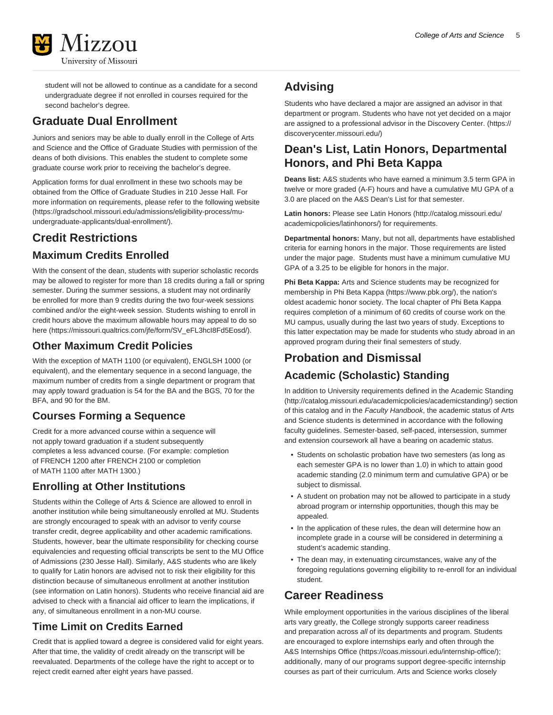

student will not be allowed to continue as a candidate for a second undergraduate degree if not enrolled in courses required for the second bachelor's degree.

# <span id="page-4-0"></span>**Graduate Dual Enrollment**

Juniors and seniors may be able to dually enroll in the College of Arts and Science and the Office of Graduate Studies with permission of the deans of both divisions. This enables the student to complete some graduate course work prior to receiving the bachelor's degree.

Application forms for dual enrollment in these two schools may be obtained from the Office of Graduate Studies in 210 Jesse Hall. For more information on requirements, please refer to the following [website](https://gradschool.missouri.edu/admissions/eligibility-process/mu-undergraduate-applicants/dual-enrollment/) ([https://gradschool.missouri.edu/admissions/eligibility-process/mu](https://gradschool.missouri.edu/admissions/eligibility-process/mu-undergraduate-applicants/dual-enrollment/)[undergraduate-applicants/dual-enrollment/](https://gradschool.missouri.edu/admissions/eligibility-process/mu-undergraduate-applicants/dual-enrollment/)).

# <span id="page-4-1"></span>**Credit Restrictions**

### **Maximum Credits Enrolled**

With the consent of the dean, students with superior scholastic records may be allowed to register for more than 18 credits during a fall or spring semester. During the summer sessions, a student may not ordinarily be enrolled for more than 9 credits during the two four-week sessions combined and/or the eight-week session. Students wishing to enroll in credit hours above the maximum allowable hours may appeal to do so [here](https://missouri.qualtrics.com/jfe/form/SV_eFL3hcI8Fd5Eosd/) ([https://missouri.qualtrics.com/jfe/form/SV\\_eFL3hcI8Fd5Eosd/\)](https://missouri.qualtrics.com/jfe/form/SV_eFL3hcI8Fd5Eosd/).

### **Other Maximum Credit Policies**

With the exception of MATH 1100 (or equivalent), ENGLSH 1000 (or equivalent), and the elementary sequence in a second language, the maximum number of credits from a single department or program that may apply toward graduation is 54 for the BA and the BGS, 70 for the BFA, and 90 for the BM.

### **Courses Forming a Sequence**

Credit for a more advanced course within a sequence will not apply toward graduation if a student subsequently completes a less advanced course. (For example: completion of FRENCH 1200 after FRENCH 2100 or completion of MATH 1100 after MATH 1300.)

### **Enrolling at Other Institutions**

Students within the College of Arts & Science are allowed to enroll in another institution while being simultaneously enrolled at MU. Students are strongly encouraged to speak with an advisor to verify course transfer credit, degree applicability and other academic ramifications. Students, however, bear the ultimate responsibility for checking course equivalencies and requesting official transcripts be sent to the MU Office of Admissions (230 Jesse Hall). Similarly, A&S students who are likely to qualify for Latin honors are advised not to risk their eligibility for this distinction because of simultaneous enrollment at another institution (see information on Latin honors). Students who receive financial aid are advised to check with a financial aid officer to learn the implications, if any, of simultaneous enrollment in a non-MU course.

### **Time Limit on Credits Earned**

Credit that is applied toward a degree is considered valid for eight years. After that time, the validity of credit already on the transcript will be reevaluated. Departments of the college have the right to accept or to reject credit earned after eight years have passed.

# <span id="page-4-2"></span>**Advising**

Students who have declared a major are assigned an advisor in that department or program. Students who have not yet decided on a major are assigned to a professional advisor in the [Discovery Center.](https://discoverycenter.missouri.edu/) [\(https://](https://discoverycenter.missouri.edu/) [discoverycenter.missouri.edu/\)](https://discoverycenter.missouri.edu/)

### <span id="page-4-3"></span>**Dean's List, Latin Honors, Departmental Honors, and Phi Beta Kappa**

**Deans list:** A&S students who have earned a minimum 3.5 term GPA in twelve or more graded (A-F) hours and have a cumulative MU GPA of a 3.0 are placed on the A&S Dean's List for that semester.

**Latin honors:** Please see [Latin Honors](http://catalog.missouri.edu/academicpolicies/latinhonors/) [\(http://catalog.missouri.edu/](http://catalog.missouri.edu/academicpolicies/latinhonors/) [academicpolicies/latinhonors/](http://catalog.missouri.edu/academicpolicies/latinhonors/)) for requirements.

**Departmental honors:** Many, but not all, departments have established criteria for earning honors in the major. Those requirements are listed under the major page. Students must have a minimum cumulative MU GPA of a 3.25 to be eligible for honors in the major.

**Phi Beta Kappa:** Arts and Science students may be recognized for membership in [Phi Beta Kappa](https://www.pbk.org/) [\(https://www.pbk.org/\)](https://www.pbk.org/), the nation's oldest academic honor society. The local chapter of Phi Beta Kappa requires completion of a minimum of 60 credits of course work on the MU campus, usually during the last two years of study. Exceptions to this latter expectation may be made for students who study abroad in an approved program during their final semesters of study.

# <span id="page-4-4"></span>**Probation and Dismissal Academic (Scholastic) Standing**

In addition to University requirements defined in the [Academic Standing](http://catalog.missouri.edu/academicpolicies/academicstanding/) (<http://catalog.missouri.edu/academicpolicies/academicstanding/>) section of this catalog and in the Faculty Handbook, the academic status of Arts and Science students is determined in accordance with the following faculty guidelines. Semester-based, self-paced, intersession, summer and extension coursework all have a bearing on academic status.

- Students on scholastic probation have two semesters (as long as each semester GPA is no lower than 1.0) in which to attain good academic standing (2.0 minimum term and cumulative GPA) or be subject to dismissal.
- A student on probation may not be allowed to participate in a study abroad program or internship opportunities, though this may be appealed.
- In the application of these rules, the dean will determine how an incomplete grade in a course will be considered in determining a student's academic standing.
- The dean may, in extenuating circumstances, waive any of the foregoing regulations governing eligibility to re-enroll for an individual student.

# <span id="page-4-5"></span>**Career Readiness**

While employment opportunities in the various disciplines of the liberal arts vary greatly, the College strongly supports career readiness and preparation across all of its departments and program. Students are encouraged to explore internships early and often through the [A&S Internships Office](https://coas.missouri.edu/internship-office/) [\(https://coas.missouri.edu/internship-office/\)](https://coas.missouri.edu/internship-office/); additionally, many of our programs support degree-specific internship courses as part of their curriculum. Arts and Science works closely